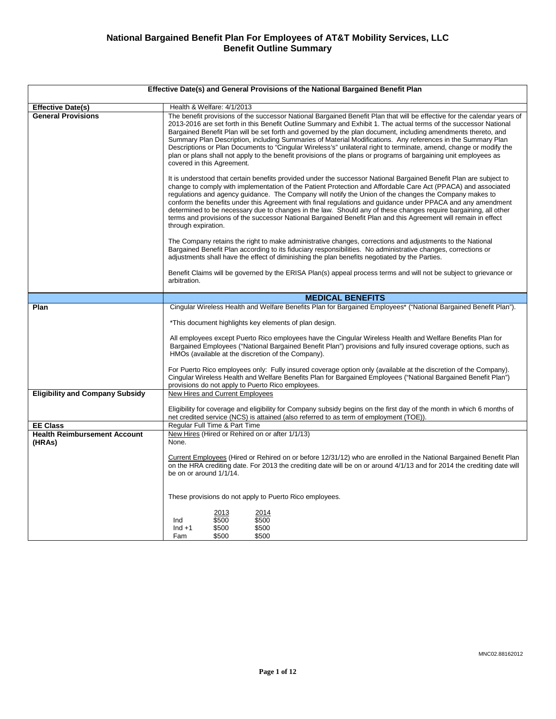| Effective Date(s) and General Provisions of the National Bargained Benefit Plan |                                                                                                                                                                                                                                                                                                                                                                                                                                                                                                                                                                                                                                                                                                                                                       |  |
|---------------------------------------------------------------------------------|-------------------------------------------------------------------------------------------------------------------------------------------------------------------------------------------------------------------------------------------------------------------------------------------------------------------------------------------------------------------------------------------------------------------------------------------------------------------------------------------------------------------------------------------------------------------------------------------------------------------------------------------------------------------------------------------------------------------------------------------------------|--|
| <b>Effective Date(s)</b>                                                        | Health & Welfare: 4/1/2013                                                                                                                                                                                                                                                                                                                                                                                                                                                                                                                                                                                                                                                                                                                            |  |
| <b>General Provisions</b>                                                       | The benefit provisions of the successor National Bargained Benefit Plan that will be effective for the calendar years of<br>2013-2016 are set forth in this Benefit Outline Summary and Exhibit 1. The actual terms of the successor National<br>Bargained Benefit Plan will be set forth and governed by the plan document, including amendments thereto, and<br>Summary Plan Description, including Summaries of Material Modifications. Any references in the Summary Plan<br>Descriptions or Plan Documents to "Cingular Wireless's" unilateral right to terminate, amend, change or modify the<br>plan or plans shall not apply to the benefit provisions of the plans or programs of bargaining unit employees as<br>covered in this Agreement. |  |
|                                                                                 | It is understood that certain benefits provided under the successor National Bargained Benefit Plan are subject to<br>change to comply with implementation of the Patient Protection and Affordable Care Act (PPACA) and associated<br>regulations and agency guidance. The Company will notify the Union of the changes the Company makes to<br>conform the benefits under this Agreement with final regulations and guidance under PPACA and any amendment<br>determined to be necessary due to changes in the law. Should any of these changes require bargaining, all other<br>terms and provisions of the successor National Bargained Benefit Plan and this Agreement will remain in effect<br>through expiration.                              |  |
|                                                                                 | The Company retains the right to make administrative changes, corrections and adjustments to the National<br>Bargained Benefit Plan according to its fiduciary responsibilities. No administrative changes, corrections or<br>adjustments shall have the effect of diminishing the plan benefits negotiated by the Parties.                                                                                                                                                                                                                                                                                                                                                                                                                           |  |
|                                                                                 | Benefit Claims will be governed by the ERISA Plan(s) appeal process terms and will not be subject to grievance or<br>arbitration.                                                                                                                                                                                                                                                                                                                                                                                                                                                                                                                                                                                                                     |  |
|                                                                                 | <b>MEDICAL BENEFITS</b>                                                                                                                                                                                                                                                                                                                                                                                                                                                                                                                                                                                                                                                                                                                               |  |
| Plan                                                                            | Cingular Wireless Health and Welfare Benefits Plan for Bargained Employees* ("National Bargained Benefit Plan").                                                                                                                                                                                                                                                                                                                                                                                                                                                                                                                                                                                                                                      |  |
|                                                                                 | *This document highlights key elements of plan design.                                                                                                                                                                                                                                                                                                                                                                                                                                                                                                                                                                                                                                                                                                |  |
|                                                                                 | All employees except Puerto Rico employees have the Cingular Wireless Health and Welfare Benefits Plan for<br>Bargained Employees ("National Bargained Benefit Plan") provisions and fully insured coverage options, such as<br>HMOs (available at the discretion of the Company).                                                                                                                                                                                                                                                                                                                                                                                                                                                                    |  |
|                                                                                 | For Puerto Rico employees only: Fully insured coverage option only (available at the discretion of the Company).<br>Cingular Wireless Health and Welfare Benefits Plan for Bargained Employees ("National Bargained Benefit Plan")<br>provisions do not apply to Puerto Rico employees.                                                                                                                                                                                                                                                                                                                                                                                                                                                               |  |
| <b>Eligibility and Company Subsidy</b>                                          | <b>New Hires and Current Employees</b>                                                                                                                                                                                                                                                                                                                                                                                                                                                                                                                                                                                                                                                                                                                |  |
|                                                                                 | Eligibility for coverage and eligibility for Company subsidy begins on the first day of the month in which 6 months of<br>net credited service (NCS) is attained (also referred to as term of employment (TOE)).                                                                                                                                                                                                                                                                                                                                                                                                                                                                                                                                      |  |
| <b>EE Class</b>                                                                 | Regular Full Time & Part Time                                                                                                                                                                                                                                                                                                                                                                                                                                                                                                                                                                                                                                                                                                                         |  |
| <b>Health Reimbursement Account</b><br>(HRAs)                                   | New Hires (Hired or Rehired on or after 1/1/13)<br>None.                                                                                                                                                                                                                                                                                                                                                                                                                                                                                                                                                                                                                                                                                              |  |
|                                                                                 | Current Employees (Hired or Rehired on or before 12/31/12) who are enrolled in the National Bargained Benefit Plan<br>on the HRA crediting date. For 2013 the crediting date will be on or around 4/1/13 and for 2014 the crediting date will<br>be on or around 1/1/14.                                                                                                                                                                                                                                                                                                                                                                                                                                                                              |  |
|                                                                                 | These provisions do not apply to Puerto Rico employees.                                                                                                                                                                                                                                                                                                                                                                                                                                                                                                                                                                                                                                                                                               |  |
|                                                                                 | 2013<br>2014<br>\$500<br>\$500<br>Ind<br>\$500<br>\$500<br>$Ind + 1$<br>\$500<br>\$500<br>Fam                                                                                                                                                                                                                                                                                                                                                                                                                                                                                                                                                                                                                                                         |  |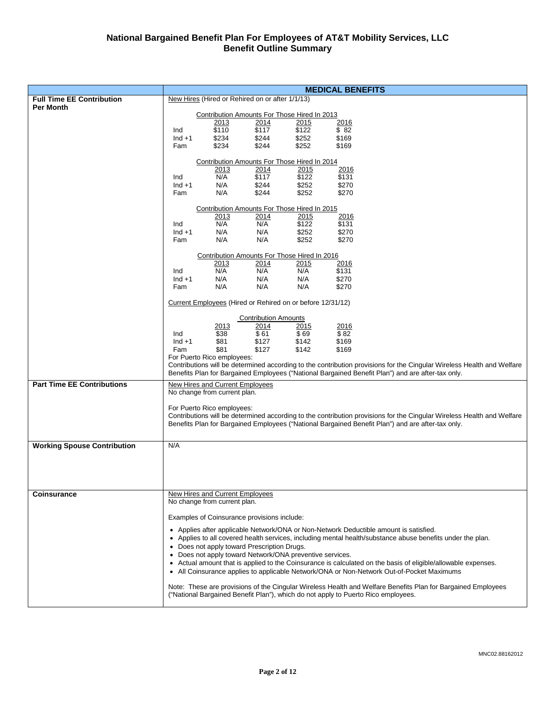|                                    |                  |                                 |                                                            |                | <b>MEDICAL BENEFITS</b> |                                                                                                                                                                                                                             |
|------------------------------------|------------------|---------------------------------|------------------------------------------------------------|----------------|-------------------------|-----------------------------------------------------------------------------------------------------------------------------------------------------------------------------------------------------------------------------|
| <b>Full Time EE Contribution</b>   |                  |                                 | New Hires (Hired or Rehired on or after 1/1/13)            |                |                         |                                                                                                                                                                                                                             |
| <b>Per Month</b>                   |                  |                                 |                                                            |                |                         |                                                                                                                                                                                                                             |
|                                    |                  |                                 | Contribution Amounts For Those Hired In 2013               |                |                         |                                                                                                                                                                                                                             |
|                                    |                  | 2013<br>\$110                   | 2014<br>\$117                                              | 2015<br>\$122  | 2016                    |                                                                                                                                                                                                                             |
|                                    | Ind<br>$Ind + 1$ | \$234                           | \$244                                                      | \$252          | \$82<br>\$169           |                                                                                                                                                                                                                             |
|                                    | Fam              | \$234                           | \$244                                                      | \$252          | \$169                   |                                                                                                                                                                                                                             |
|                                    |                  |                                 |                                                            |                |                         |                                                                                                                                                                                                                             |
|                                    |                  |                                 | Contribution Amounts For Those Hired In 2014               |                |                         |                                                                                                                                                                                                                             |
|                                    |                  |                                 |                                                            | 2015           | 2016                    |                                                                                                                                                                                                                             |
|                                    | Ind              | $\frac{2013}{N/A}$              | $\frac{2014}{117}$                                         | \$122          | \$131                   |                                                                                                                                                                                                                             |
|                                    | $Ind + 1$        | N/A                             | \$244                                                      | \$252          | \$270                   |                                                                                                                                                                                                                             |
|                                    | Fam              | N/A                             | \$244                                                      | \$252          | \$270                   |                                                                                                                                                                                                                             |
|                                    |                  |                                 |                                                            |                |                         |                                                                                                                                                                                                                             |
|                                    |                  |                                 | Contribution Amounts For Those Hired In 2015               |                |                         |                                                                                                                                                                                                                             |
|                                    | Ind              | 2013<br>N/A                     | 2014<br>N/A                                                | 2015<br>\$122  | 2016<br>\$131           |                                                                                                                                                                                                                             |
|                                    | $Ind + 1$        | N/A                             | N/A                                                        | \$252          | \$270                   |                                                                                                                                                                                                                             |
|                                    | Fam              | N/A                             | N/A                                                        | \$252          | \$270                   |                                                                                                                                                                                                                             |
|                                    |                  |                                 |                                                            |                |                         |                                                                                                                                                                                                                             |
|                                    |                  |                                 | Contribution Amounts For Those Hired In 2016               |                |                         |                                                                                                                                                                                                                             |
|                                    |                  | 2013                            | 2014                                                       | 2015           | 2016                    |                                                                                                                                                                                                                             |
|                                    | Ind              | N/A                             | N/A                                                        | N/A            | \$131                   |                                                                                                                                                                                                                             |
|                                    | $Ind + 1$        | N/A                             | N/A                                                        | N/A            | \$270                   |                                                                                                                                                                                                                             |
|                                    | Fam              | N/A                             | N/A                                                        | N/A            | \$270                   |                                                                                                                                                                                                                             |
|                                    |                  |                                 | Current Employees (Hired or Rehired on or before 12/31/12) |                |                         |                                                                                                                                                                                                                             |
|                                    |                  |                                 |                                                            |                |                         |                                                                                                                                                                                                                             |
|                                    |                  |                                 | <b>Contribution Amounts</b>                                |                |                         |                                                                                                                                                                                                                             |
|                                    |                  | <u> 2013</u>                    | 2014                                                       | 2015           | 2016                    |                                                                                                                                                                                                                             |
|                                    | Ind              | \$38                            | \$61                                                       | \$69           | \$82                    |                                                                                                                                                                                                                             |
|                                    | $Ind + 1$<br>Fam | \$81<br>\$81                    | \$127<br>\$127                                             | \$142<br>\$142 | \$169<br>\$169          |                                                                                                                                                                                                                             |
|                                    |                  | For Puerto Rico employees:      |                                                            |                |                         |                                                                                                                                                                                                                             |
|                                    |                  |                                 |                                                            |                |                         | Contributions will be determined according to the contribution provisions for the Cingular Wireless Health and Welfare                                                                                                      |
|                                    |                  |                                 |                                                            |                |                         | Benefits Plan for Bargained Employees ("National Bargained Benefit Plan") and are after-tax only.                                                                                                                           |
| <b>Part Time EE Contributions</b>  |                  | New Hires and Current Employees |                                                            |                |                         |                                                                                                                                                                                                                             |
|                                    |                  | No change from current plan.    |                                                            |                |                         |                                                                                                                                                                                                                             |
|                                    |                  |                                 |                                                            |                |                         |                                                                                                                                                                                                                             |
|                                    |                  | For Puerto Rico employees:      |                                                            |                |                         |                                                                                                                                                                                                                             |
|                                    |                  |                                 |                                                            |                |                         | Contributions will be determined according to the contribution provisions for the Cingular Wireless Health and Welfare<br>Benefits Plan for Bargained Employees ("National Bargained Benefit Plan") and are after-tax only. |
|                                    |                  |                                 |                                                            |                |                         |                                                                                                                                                                                                                             |
|                                    |                  |                                 |                                                            |                |                         |                                                                                                                                                                                                                             |
| <b>Working Spouse Contribution</b> | N/A              |                                 |                                                            |                |                         |                                                                                                                                                                                                                             |
|                                    |                  |                                 |                                                            |                |                         |                                                                                                                                                                                                                             |
|                                    |                  |                                 |                                                            |                |                         |                                                                                                                                                                                                                             |
|                                    |                  |                                 |                                                            |                |                         |                                                                                                                                                                                                                             |
|                                    |                  |                                 |                                                            |                |                         |                                                                                                                                                                                                                             |
| <b>Coinsurance</b>                 |                  | New Hires and Current Employees |                                                            |                |                         |                                                                                                                                                                                                                             |
|                                    |                  | No change from current plan.    |                                                            |                |                         |                                                                                                                                                                                                                             |
|                                    |                  |                                 |                                                            |                |                         |                                                                                                                                                                                                                             |
|                                    |                  |                                 | Examples of Coinsurance provisions include:                |                |                         |                                                                                                                                                                                                                             |
|                                    |                  |                                 |                                                            |                |                         | • Applies after applicable Network/ONA or Non-Network Deductible amount is satisfied.                                                                                                                                       |
|                                    |                  |                                 |                                                            |                |                         | • Applies to all covered health services, including mental health/substance abuse benefits under the plan.                                                                                                                  |
|                                    |                  |                                 | • Does not apply toward Prescription Drugs.                |                |                         |                                                                                                                                                                                                                             |
|                                    |                  |                                 | • Does not apply toward Network/ONA preventive services.   |                |                         |                                                                                                                                                                                                                             |
|                                    |                  |                                 |                                                            |                |                         | • Actual amount that is applied to the Coinsurance is calculated on the basis of eligible/allowable expenses.                                                                                                               |
|                                    |                  |                                 |                                                            |                |                         | • All Coinsurance applies to applicable Network/ONA or Non-Network Out-of-Pocket Maximums                                                                                                                                   |
|                                    |                  |                                 |                                                            |                |                         |                                                                                                                                                                                                                             |
|                                    |                  |                                 |                                                            |                |                         | Note: These are provisions of the Cingular Wireless Health and Welfare Benefits Plan for Bargained Employees                                                                                                                |
|                                    |                  |                                 |                                                            |                |                         | ("National Bargained Benefit Plan"), which do not apply to Puerto Rico employees.                                                                                                                                           |
|                                    |                  |                                 |                                                            |                |                         |                                                                                                                                                                                                                             |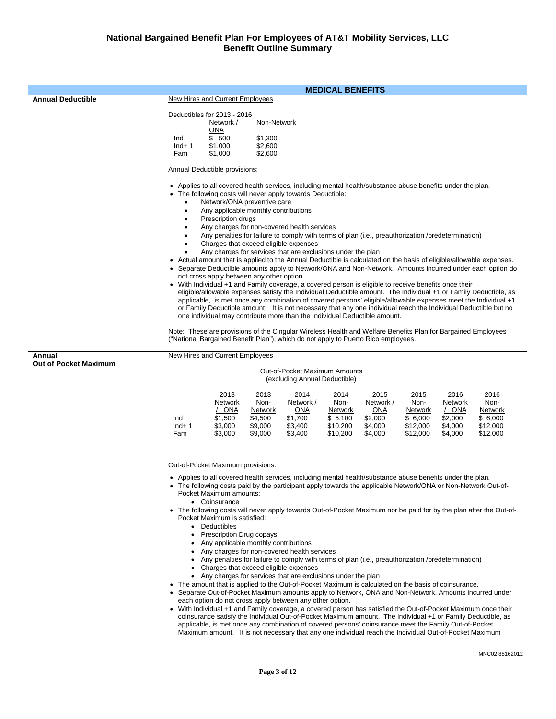|                                        | <b>MEDICAL BENEFITS</b>                                                                                                                                                                                                                                                                                                                                                                                                                                                                                                                                                                                                                                                                                                                                                                                                                                                                                                                                                                                                                                                                                                                                                                                                                                                                                                                                                                                                                             |
|----------------------------------------|-----------------------------------------------------------------------------------------------------------------------------------------------------------------------------------------------------------------------------------------------------------------------------------------------------------------------------------------------------------------------------------------------------------------------------------------------------------------------------------------------------------------------------------------------------------------------------------------------------------------------------------------------------------------------------------------------------------------------------------------------------------------------------------------------------------------------------------------------------------------------------------------------------------------------------------------------------------------------------------------------------------------------------------------------------------------------------------------------------------------------------------------------------------------------------------------------------------------------------------------------------------------------------------------------------------------------------------------------------------------------------------------------------------------------------------------------------|
| <b>Annual Deductible</b>               | New Hires and Current Employees                                                                                                                                                                                                                                                                                                                                                                                                                                                                                                                                                                                                                                                                                                                                                                                                                                                                                                                                                                                                                                                                                                                                                                                                                                                                                                                                                                                                                     |
|                                        | Deductibles for 2013 - 2016<br>Network /<br>Non-Network<br>ONA<br>\$ 500<br>\$1,300<br>Ind<br>\$1,000<br>\$2,600<br>$Ind+1$<br>\$1,000<br>\$2,600<br>Fam                                                                                                                                                                                                                                                                                                                                                                                                                                                                                                                                                                                                                                                                                                                                                                                                                                                                                                                                                                                                                                                                                                                                                                                                                                                                                            |
|                                        | Annual Deductible provisions:                                                                                                                                                                                                                                                                                                                                                                                                                                                                                                                                                                                                                                                                                                                                                                                                                                                                                                                                                                                                                                                                                                                                                                                                                                                                                                                                                                                                                       |
|                                        | Applies to all covered health services, including mental health/substance abuse benefits under the plan.<br>• The following costs will never apply towards Deductible:<br>Network/ONA preventive care<br>Any applicable monthly contributions<br>$\bullet$<br>Prescription drugs<br>Any charges for non-covered health services<br>Any penalties for failure to comply with terms of plan (i.e., preauthorization /predetermination)<br>Charges that exceed eligible expenses<br>٠<br>Any charges for services that are exclusions under the plan<br>Actual amount that is applied to the Annual Deductible is calculated on the basis of eligible/allowable expenses.<br>• Separate Deductible amounts apply to Network/ONA and Non-Network. Amounts incurred under each option do<br>not cross apply between any other option.<br>• With Individual +1 and Family coverage, a covered person is eligible to receive benefits once their<br>eligible/allowable expenses satisfy the Individual Deductible amount. The Individual +1 or Family Deductible, as<br>applicable, is met once any combination of covered persons' eligible/allowable expenses meet the Individual +1<br>or Family Deductible amount. It is not necessary that any one individual reach the Individual Deductible but no<br>one individual may contribute more than the Individual Deductible amount.                                                                     |
|                                        | Note: These are provisions of the Cingular Wireless Health and Welfare Benefits Plan for Bargained Employees<br>("National Bargained Benefit Plan"), which do not apply to Puerto Rico employees.                                                                                                                                                                                                                                                                                                                                                                                                                                                                                                                                                                                                                                                                                                                                                                                                                                                                                                                                                                                                                                                                                                                                                                                                                                                   |
| Annual<br><b>Out of Pocket Maximum</b> | New Hires and Current Employees<br>Out-of-Pocket Maximum Amounts<br>(excluding Annual Deductible)                                                                                                                                                                                                                                                                                                                                                                                                                                                                                                                                                                                                                                                                                                                                                                                                                                                                                                                                                                                                                                                                                                                                                                                                                                                                                                                                                   |
|                                        | 2016<br><u> 2013</u><br><u> 2015</u><br>2015<br>2016<br>2013<br><u> 2014 </u><br><u> 2014 </u><br>Non-<br>Network /<br>Non-<br>Non-<br>Network<br>Network /<br>Non-<br>Network<br><b>ONA</b><br>Network<br>ONA<br>Network<br><b>ONA</b><br>Network<br>/ ONA<br>Network<br>\$1,700<br>\$5,100<br>\$2,000<br>$\sqrt{6,000}$<br>\$6,000<br>\$1,500<br>\$4,500<br>\$2,000<br>Ind<br>\$3,400<br>\$4,000<br>\$3,000<br>\$9,000<br>\$10,200<br>\$12,000<br>\$4,000<br>\$12,000<br>$Ind+1$<br>\$3,000<br>\$9,000<br>\$3,400<br>\$10,200<br>\$4,000<br>\$12,000<br>\$4,000<br>\$12,000<br>Fam                                                                                                                                                                                                                                                                                                                                                                                                                                                                                                                                                                                                                                                                                                                                                                                                                                                                |
|                                        | Out-of-Pocket Maximum provisions:<br>• Applies to all covered health services, including mental health/substance abuse benefits under the plan.<br>• The following costs paid by the participant apply towards the applicable Network/ONA or Non-Network Out-of-<br>Pocket Maximum amounts:<br>• Coinsurance<br>• The following costs will never apply towards Out-of-Pocket Maximum nor be paid for by the plan after the Out-of-<br>Pocket Maximum is satisfied:<br>• Deductibles<br><b>Prescription Drug copays</b><br>Any applicable monthly contributions<br>Any charges for non-covered health services<br>Any penalties for failure to comply with terms of plan (i.e., preauthorization /predetermination)<br>Charges that exceed eligible expenses<br>• Any charges for services that are exclusions under the plan<br>• The amount that is applied to the Out-of-Pocket Maximum is calculated on the basis of coinsurance.<br>• Separate Out-of-Pocket Maximum amounts apply to Network, ONA and Non-Network. Amounts incurred under<br>each option do not cross apply between any other option.<br>• With Individual +1 and Family coverage, a covered person has satisfied the Out-of-Pocket Maximum once their<br>coinsurance satisfy the Individual Out-of-Pocket Maximum amount. The Individual +1 or Family Deductible, as<br>applicable, is met once any combination of covered persons' coinsurance meet the Family Out-of-Pocket |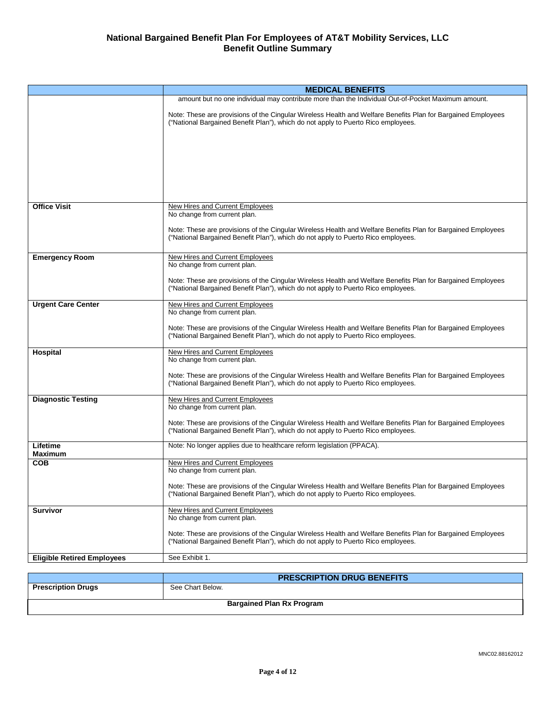|                                   | <b>MEDICAL BENEFITS</b>                                                                                                                                                                           |
|-----------------------------------|---------------------------------------------------------------------------------------------------------------------------------------------------------------------------------------------------|
|                                   | amount but no one individual may contribute more than the Individual Out-of-Pocket Maximum amount.                                                                                                |
|                                   | Note: These are provisions of the Cingular Wireless Health and Welfare Benefits Plan for Bargained Employees<br>("National Bargained Benefit Plan"), which do not apply to Puerto Rico employees. |
|                                   |                                                                                                                                                                                                   |
|                                   |                                                                                                                                                                                                   |
|                                   |                                                                                                                                                                                                   |
| <b>Office Visit</b>               | New Hires and Current Employees<br>No change from current plan.                                                                                                                                   |
|                                   | Note: These are provisions of the Cingular Wireless Health and Welfare Benefits Plan for Bargained Employees<br>("National Bargained Benefit Plan"), which do not apply to Puerto Rico employees. |
| <b>Emergency Room</b>             | New Hires and Current Employees<br>No change from current plan.                                                                                                                                   |
|                                   | Note: These are provisions of the Cingular Wireless Health and Welfare Benefits Plan for Bargained Employees<br>("National Bargained Benefit Plan"), which do not apply to Puerto Rico employees. |
| <b>Urgent Care Center</b>         | New Hires and Current Employees<br>No change from current plan.                                                                                                                                   |
|                                   | Note: These are provisions of the Cingular Wireless Health and Welfare Benefits Plan for Bargained Employees<br>("National Bargained Benefit Plan"), which do not apply to Puerto Rico employees. |
| Hospital                          | New Hires and Current Employees<br>No change from current plan.                                                                                                                                   |
|                                   | Note: These are provisions of the Cingular Wireless Health and Welfare Benefits Plan for Bargained Employees<br>("National Bargained Benefit Plan"), which do not apply to Puerto Rico employees. |
| <b>Diagnostic Testing</b>         | New Hires and Current Employees<br>No change from current plan.                                                                                                                                   |
|                                   | Note: These are provisions of the Cingular Wireless Health and Welfare Benefits Plan for Bargained Employees<br>("National Bargained Benefit Plan"), which do not apply to Puerto Rico employees. |
| Lifetime<br><b>Maximum</b>        | Note: No longer applies due to healthcare reform legislation (PPACA).                                                                                                                             |
| СОВ                               | New Hires and Current Employees<br>No change from current plan.                                                                                                                                   |
|                                   | Note: These are provisions of the Cingular Wireless Health and Welfare Benefits Plan for Bargained Employees<br>("National Bargained Benefit Plan"), which do not apply to Puerto Rico employees. |
| <b>Survivor</b>                   | New Hires and Current Employees<br>No change from current plan.                                                                                                                                   |
|                                   | Note: These are provisions of the Cingular Wireless Health and Welfare Benefits Plan for Bargained Employees<br>("National Bargained Benefit Plan"), which do not apply to Puerto Rico employees. |
| <b>Eligible Retired Employees</b> | See Exhibit 1.                                                                                                                                                                                    |
|                                   |                                                                                                                                                                                                   |
|                                   | <b>PRESCRIPTION DRUG BENEFITS</b>                                                                                                                                                                 |

|                                  | <b>PRESCRIPTION DRUG BENEFITS</b> |  |
|----------------------------------|-----------------------------------|--|
| <b>Prescription Drugs</b>        | See Chart Below.                  |  |
|                                  |                                   |  |
| <b>Bargained Plan Rx Program</b> |                                   |  |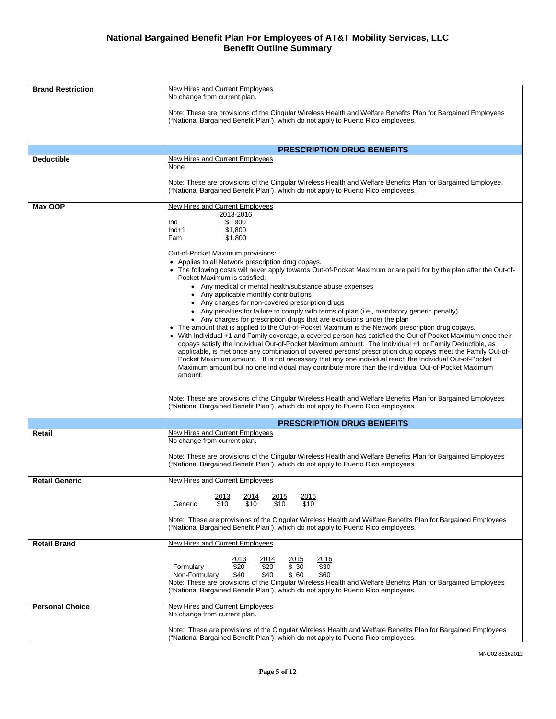| <b>Brand Restriction</b> | New Hires and Current Employees<br>No change from current plan.                                                                                                                                                                                                                                                                                                                                                                                                                                                                                                                                                                                                                                                                                                                                                                                                                                                                                                                                                                                                                                                                                                                                                                                                                                                                                                                                                                                                                  |
|--------------------------|----------------------------------------------------------------------------------------------------------------------------------------------------------------------------------------------------------------------------------------------------------------------------------------------------------------------------------------------------------------------------------------------------------------------------------------------------------------------------------------------------------------------------------------------------------------------------------------------------------------------------------------------------------------------------------------------------------------------------------------------------------------------------------------------------------------------------------------------------------------------------------------------------------------------------------------------------------------------------------------------------------------------------------------------------------------------------------------------------------------------------------------------------------------------------------------------------------------------------------------------------------------------------------------------------------------------------------------------------------------------------------------------------------------------------------------------------------------------------------|
|                          | Note: These are provisions of the Cingular Wireless Health and Welfare Benefits Plan for Bargained Employees<br>("National Bargained Benefit Plan"), which do not apply to Puerto Rico employees.                                                                                                                                                                                                                                                                                                                                                                                                                                                                                                                                                                                                                                                                                                                                                                                                                                                                                                                                                                                                                                                                                                                                                                                                                                                                                |
|                          | <b>PRESCRIPTION DRUG BENEFITS</b>                                                                                                                                                                                                                                                                                                                                                                                                                                                                                                                                                                                                                                                                                                                                                                                                                                                                                                                                                                                                                                                                                                                                                                                                                                                                                                                                                                                                                                                |
| <b>Deductible</b>        | New Hires and Current Employees<br>None<br>Note: These are provisions of the Cingular Wireless Health and Welfare Benefits Plan for Bargained Employee,<br>("National Bargained Benefit Plan"), which do not apply to Puerto Rico employees.                                                                                                                                                                                                                                                                                                                                                                                                                                                                                                                                                                                                                                                                                                                                                                                                                                                                                                                                                                                                                                                                                                                                                                                                                                     |
| Max OOP                  | New Hires and Current Employees<br>2013-2016<br>\$900<br>Ind<br>\$1,800<br>$Ind+1$<br>\$1,800<br>Fam<br>Out-of-Pocket Maximum provisions:<br>• Applies to all Network prescription drug copays.<br>• The following costs will never apply towards Out-of-Pocket Maximum or are paid for by the plan after the Out-of-<br>Pocket Maximum is satisfied:<br>• Any medical or mental health/substance abuse expenses<br>Any applicable monthly contributions<br>• Any charges for non-covered prescription drugs<br>• Any penalties for failure to comply with terms of plan (i.e., mandatory generic penalty)<br>• Any charges for prescription drugs that are exclusions under the plan<br>• The amount that is applied to the Out-of-Pocket Maximum is the Network prescription drug copays.<br>• With Individual +1 and Family coverage, a covered person has satisfied the Out-of-Pocket Maximum once their<br>copays satisfy the Individual Out-of-Pocket Maximum amount. The Individual +1 or Family Deductible, as<br>applicable, is met once any combination of covered persons' prescription drug copays meet the Family Out-of-<br>Pocket Maximum amount. It is not necessary that any one individual reach the Individual Out-of-Pocket<br>Maximum amount but no one individual may contribute more than the Individual Out-of-Pocket Maximum<br>amount.<br>Note: These are provisions of the Cingular Wireless Health and Welfare Benefits Plan for Bargained Employees |
|                          | ("National Bargained Benefit Plan"), which do not apply to Puerto Rico employees.                                                                                                                                                                                                                                                                                                                                                                                                                                                                                                                                                                                                                                                                                                                                                                                                                                                                                                                                                                                                                                                                                                                                                                                                                                                                                                                                                                                                |
|                          | <b>PRESCRIPTION DRUG BENEFITS</b>                                                                                                                                                                                                                                                                                                                                                                                                                                                                                                                                                                                                                                                                                                                                                                                                                                                                                                                                                                                                                                                                                                                                                                                                                                                                                                                                                                                                                                                |
| Retail                   | New Hires and Current Employees<br>No change from current plan.<br>Note: These are provisions of the Cingular Wireless Health and Welfare Benefits Plan for Bargained Employees<br>("National Bargained Benefit Plan"), which do not apply to Puerto Rico employees.                                                                                                                                                                                                                                                                                                                                                                                                                                                                                                                                                                                                                                                                                                                                                                                                                                                                                                                                                                                                                                                                                                                                                                                                             |
| <b>Retail Generic</b>    | New Hires and Current Employees                                                                                                                                                                                                                                                                                                                                                                                                                                                                                                                                                                                                                                                                                                                                                                                                                                                                                                                                                                                                                                                                                                                                                                                                                                                                                                                                                                                                                                                  |
|                          | 2013<br>2014<br><u> 2016</u><br><u> 2015</u><br>\$10<br>\$10<br>\$10<br>\$10<br>Generic<br>Note: These are provisions of the Cingular Wireless Health and Welfare Benefits Plan for Bargained Employees                                                                                                                                                                                                                                                                                                                                                                                                                                                                                                                                                                                                                                                                                                                                                                                                                                                                                                                                                                                                                                                                                                                                                                                                                                                                          |
|                          | ("National Bargained Benefit Plan"), which do not apply to Puerto Rico employees.                                                                                                                                                                                                                                                                                                                                                                                                                                                                                                                                                                                                                                                                                                                                                                                                                                                                                                                                                                                                                                                                                                                                                                                                                                                                                                                                                                                                |
| <b>Retail Brand</b>      | <b>New Hires and Current Employees</b><br>2013<br>2015<br>2016<br>2014<br>\$20<br>\$20<br>\$30<br>\$30<br>Formulary<br>Non-Formulary<br>\$40<br>\$40<br>\$ 60<br>\$60<br>Note: These are provisions of the Cingular Wireless Health and Welfare Benefits Plan for Bargained Employees<br>("National Bargained Benefit Plan"), which do not apply to Puerto Rico employees.                                                                                                                                                                                                                                                                                                                                                                                                                                                                                                                                                                                                                                                                                                                                                                                                                                                                                                                                                                                                                                                                                                       |
| <b>Personal Choice</b>   | <b>New Hires and Current Employees</b><br>No change from current plan.                                                                                                                                                                                                                                                                                                                                                                                                                                                                                                                                                                                                                                                                                                                                                                                                                                                                                                                                                                                                                                                                                                                                                                                                                                                                                                                                                                                                           |
|                          | Note: These are provisions of the Cingular Wireless Health and Welfare Benefits Plan for Bargained Employees<br>("National Bargained Benefit Plan"), which do not apply to Puerto Rico employees.                                                                                                                                                                                                                                                                                                                                                                                                                                                                                                                                                                                                                                                                                                                                                                                                                                                                                                                                                                                                                                                                                                                                                                                                                                                                                |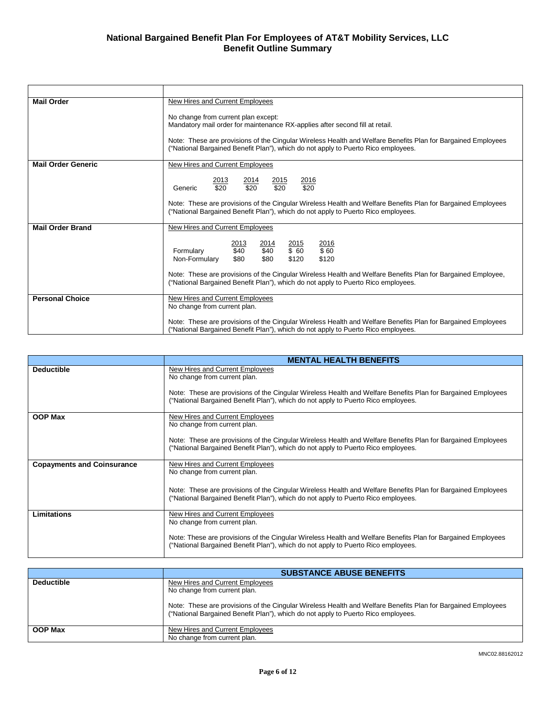| <b>Mail Order</b>         | New Hires and Current Employees                                                                                                                                                                   |  |  |  |
|---------------------------|---------------------------------------------------------------------------------------------------------------------------------------------------------------------------------------------------|--|--|--|
|                           | No change from current plan except:<br>Mandatory mail order for maintenance RX-applies after second fill at retail.                                                                               |  |  |  |
|                           | Note: These are provisions of the Cingular Wireless Health and Welfare Benefits Plan for Bargained Employees<br>("National Bargained Benefit Plan"), which do not apply to Puerto Rico employees. |  |  |  |
| <b>Mail Order Generic</b> | New Hires and Current Employees                                                                                                                                                                   |  |  |  |
|                           | 2013<br>2014<br>2015<br>2016<br>\$20<br>\$20<br>\$20<br>\$20<br>Generic                                                                                                                           |  |  |  |
|                           | Note: These are provisions of the Cingular Wireless Health and Welfare Benefits Plan for Bargained Employees<br>("National Bargained Benefit Plan"), which do not apply to Puerto Rico employees. |  |  |  |
| <b>Mail Order Brand</b>   | New Hires and Current Employees                                                                                                                                                                   |  |  |  |
|                           | 2016<br>2014<br>2015<br>2013<br>\$40<br>\$40<br>\$60<br>\$60<br>Formulary<br>\$80<br>\$80<br>\$120<br>\$120<br>Non-Formulary                                                                      |  |  |  |
|                           | Note: These are provisions of the Cingular Wireless Health and Welfare Benefits Plan for Bargained Employee,<br>("National Bargained Benefit Plan"), which do not apply to Puerto Rico employees. |  |  |  |
| <b>Personal Choice</b>    | New Hires and Current Employees<br>No change from current plan.                                                                                                                                   |  |  |  |
|                           | Note: These are provisions of the Cingular Wireless Health and Welfare Benefits Plan for Bargained Employees<br>("National Bargained Benefit Plan"), which do not apply to Puerto Rico employees. |  |  |  |

|                                   | <b>MENTAL HEALTH BENEFITS</b>                                                                                                                                                                     |
|-----------------------------------|---------------------------------------------------------------------------------------------------------------------------------------------------------------------------------------------------|
| <b>Deductible</b>                 | New Hires and Current Employees<br>No change from current plan.                                                                                                                                   |
|                                   | Note: These are provisions of the Cingular Wireless Health and Welfare Benefits Plan for Bargained Employees<br>("National Bargained Benefit Plan"), which do not apply to Puerto Rico employees. |
| <b>OOP Max</b>                    | New Hires and Current Employees<br>No change from current plan.                                                                                                                                   |
|                                   | Note: These are provisions of the Cingular Wireless Health and Welfare Benefits Plan for Bargained Employees<br>("National Bargained Benefit Plan"), which do not apply to Puerto Rico employees. |
| <b>Copayments and Coinsurance</b> | New Hires and Current Employees<br>No change from current plan.                                                                                                                                   |
|                                   | Note: These are provisions of the Cingular Wireless Health and Welfare Benefits Plan for Bargained Employees<br>("National Bargained Benefit Plan"), which do not apply to Puerto Rico employees. |
| Limitations                       | New Hires and Current Employees<br>No change from current plan.                                                                                                                                   |
|                                   | Note: These are provisions of the Cingular Wireless Health and Welfare Benefits Plan for Bargained Employees<br>("National Bargained Benefit Plan"), which do not apply to Puerto Rico employees. |

|                   | <b>SUBSTANCE ABUSE BENEFITS</b>                                                                                                                                                                                                                                      |
|-------------------|----------------------------------------------------------------------------------------------------------------------------------------------------------------------------------------------------------------------------------------------------------------------|
| <b>Deductible</b> | New Hires and Current Employees<br>No change from current plan.<br>Note: These are provisions of the Cingular Wireless Health and Welfare Benefits Plan for Bargained Employees<br>("National Bargained Benefit Plan"), which do not apply to Puerto Rico employees. |
|                   |                                                                                                                                                                                                                                                                      |
| <b>OOP Max</b>    | New Hires and Current Employees                                                                                                                                                                                                                                      |
|                   | No change from current plan.                                                                                                                                                                                                                                         |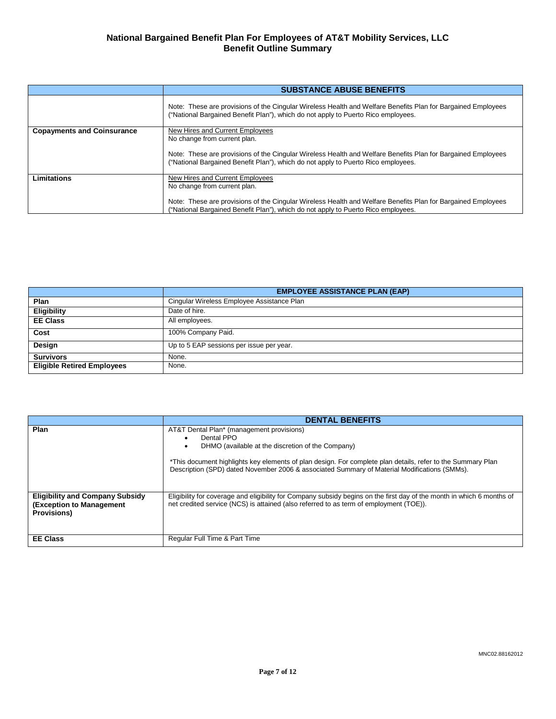|                                   | <b>SUBSTANCE ABUSE BENEFITS</b>                                                                                                                                                                   |
|-----------------------------------|---------------------------------------------------------------------------------------------------------------------------------------------------------------------------------------------------|
|                                   | Note: These are provisions of the Cingular Wireless Health and Welfare Benefits Plan for Bargained Employees<br>("National Bargained Benefit Plan"), which do not apply to Puerto Rico employees. |
| <b>Copayments and Coinsurance</b> | New Hires and Current Employees<br>No change from current plan.                                                                                                                                   |
|                                   | Note: These are provisions of the Cingular Wireless Health and Welfare Benefits Plan for Bargained Employees<br>("National Bargained Benefit Plan"), which do not apply to Puerto Rico employees. |
| Limitations                       | New Hires and Current Employees<br>No change from current plan.                                                                                                                                   |
|                                   | Note: These are provisions of the Cingular Wireless Health and Welfare Benefits Plan for Bargained Employees<br>("National Bargained Benefit Plan"), which do not apply to Puerto Rico employees. |

|                                   | <b>EMPLOYEE ASSISTANCE PLAN (EAP)</b>      |
|-----------------------------------|--------------------------------------------|
| Plan                              | Cingular Wireless Employee Assistance Plan |
| <b>Eligibility</b>                | Date of hire.                              |
| <b>EE Class</b>                   | All employees.                             |
| Cost                              | 100% Company Paid.                         |
| Design                            | Up to 5 EAP sessions per issue per year.   |
| <b>Survivors</b>                  | None.                                      |
| <b>Eligible Retired Employees</b> | None.                                      |

|                                                                                          | <b>DENTAL BENEFITS</b>                                                                                                                                                                                                                                                                                                      |
|------------------------------------------------------------------------------------------|-----------------------------------------------------------------------------------------------------------------------------------------------------------------------------------------------------------------------------------------------------------------------------------------------------------------------------|
| Plan                                                                                     | AT&T Dental Plan* (management provisions)<br>Dental PPO<br>DHMO (available at the discretion of the Company)<br>*This document highlights key elements of plan design. For complete plan details, refer to the Summary Plan<br>Description (SPD) dated November 2006 & associated Summary of Material Modifications (SMMs). |
| <b>Eligibility and Company Subsidy</b><br>(Exception to Management<br><b>Provisions)</b> | Eligibility for coverage and eligibility for Company subsidy begins on the first day of the month in which 6 months of<br>net credited service (NCS) is attained (also referred to as term of employment (TOE)).                                                                                                            |
| <b>EE Class</b>                                                                          | Regular Full Time & Part Time                                                                                                                                                                                                                                                                                               |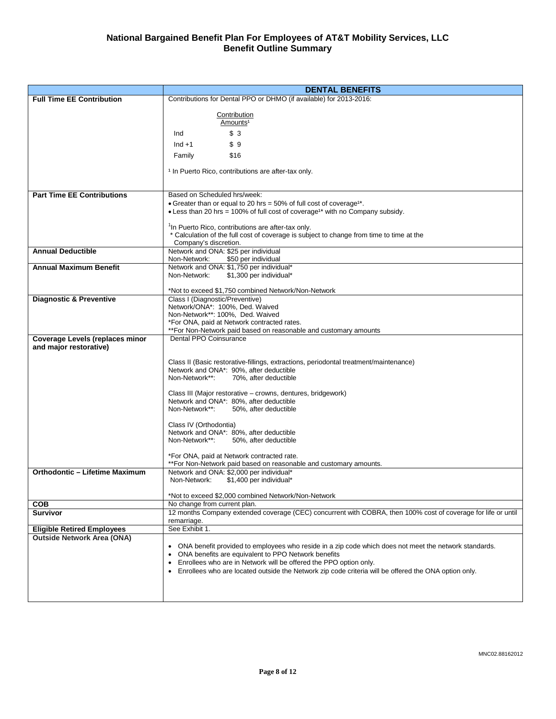|                                       | <b>DENTAL BENEFITS</b>                                                                                                                        |  |  |
|---------------------------------------|-----------------------------------------------------------------------------------------------------------------------------------------------|--|--|
| <b>Full Time EE Contribution</b>      | Contributions for Dental PPO or DHMO (if available) for 2013-2016:                                                                            |  |  |
|                                       |                                                                                                                                               |  |  |
|                                       | Contribution<br>Amounts <sup>1</sup>                                                                                                          |  |  |
|                                       | \$3<br>Ind                                                                                                                                    |  |  |
|                                       |                                                                                                                                               |  |  |
|                                       | \$9<br>$Ind + 1$                                                                                                                              |  |  |
|                                       | \$16<br>Family                                                                                                                                |  |  |
|                                       | <sup>1</sup> In Puerto Rico, contributions are after-tax only.                                                                                |  |  |
|                                       |                                                                                                                                               |  |  |
|                                       |                                                                                                                                               |  |  |
| <b>Part Time EE Contributions</b>     | Based on Scheduled hrs/week:<br>• Greater than or equal to 20 hrs = 50% of full cost of coverage <sup>1*</sup> .                              |  |  |
|                                       | • Less than 20 hrs = 100% of full cost of coverage <sup>1*</sup> with no Company subsidy.                                                     |  |  |
|                                       |                                                                                                                                               |  |  |
|                                       | <sup>1</sup> In Puerto Rico, contributions are after-tax only.                                                                                |  |  |
|                                       | * Calculation of the full cost of coverage is subject to change from time to time at the                                                      |  |  |
| <b>Annual Deductible</b>              | Company's discretion.<br>Network and ONA: \$25 per individual                                                                                 |  |  |
|                                       | Non-Network:<br>\$50 per individual                                                                                                           |  |  |
| <b>Annual Maximum Benefit</b>         | Network and ONA: \$1,750 per individual*                                                                                                      |  |  |
|                                       | Non-Network:<br>\$1,300 per individual*                                                                                                       |  |  |
|                                       | *Not to exceed \$1,750 combined Network/Non-Network                                                                                           |  |  |
| <b>Diagnostic &amp; Preventive</b>    | Class I (Diagnostic/Preventive)                                                                                                               |  |  |
|                                       | Network/ONA*: 100%, Ded. Waived                                                                                                               |  |  |
|                                       | Non-Network**: 100%, Ded. Waived                                                                                                              |  |  |
|                                       | *For ONA, paid at Network contracted rates.<br>**For Non-Network paid based on reasonable and customary amounts                               |  |  |
| Coverage Levels (replaces minor       | Dental PPO Coinsurance                                                                                                                        |  |  |
| and major restorative)                |                                                                                                                                               |  |  |
|                                       | Class II (Basic restorative-fillings, extractions, periodontal treatment/maintenance)                                                         |  |  |
|                                       | Network and ONA*: 90%, after deductible                                                                                                       |  |  |
|                                       | Non-Network**:<br>70%, after deductible                                                                                                       |  |  |
|                                       |                                                                                                                                               |  |  |
|                                       | Class III (Major restorative – crowns, dentures, bridgework)<br>Network and ONA*: 80%, after deductible                                       |  |  |
|                                       | Non-Network**:<br>50%, after deductible                                                                                                       |  |  |
|                                       |                                                                                                                                               |  |  |
|                                       | Class IV (Orthodontia)<br>Network and ONA*: 80%, after deductible                                                                             |  |  |
|                                       | Non-Network**:<br>50%, after deductible                                                                                                       |  |  |
|                                       |                                                                                                                                               |  |  |
|                                       | *For ONA, paid at Network contracted rate.                                                                                                    |  |  |
| <b>Orthodontic - Lifetime Maximum</b> | **For Non-Network paid based on reasonable and customary amounts.<br>Network and ONA: \$2,000 per individual*                                 |  |  |
|                                       | Non-Network:<br>\$1,400 per individual*                                                                                                       |  |  |
|                                       |                                                                                                                                               |  |  |
|                                       | *Not to exceed \$2,000 combined Network/Non-Network                                                                                           |  |  |
| <b>COB</b><br><b>Survivor</b>         | No change from current plan.<br>12 months Company extended coverage (CEC) concurrent with COBRA, then 100% cost of coverage for life or until |  |  |
|                                       | remarriage.                                                                                                                                   |  |  |
| <b>Eligible Retired Employees</b>     | See Exhibit 1.                                                                                                                                |  |  |
| <b>Outside Network Area (ONA)</b>     |                                                                                                                                               |  |  |
|                                       | ONA benefit provided to employees who reside in a zip code which does not meet the network standards.<br>٠                                    |  |  |
|                                       | ONA benefits are equivalent to PPO Network benefits<br>$\bullet$<br>Enrollees who are in Network will be offered the PPO option only.         |  |  |
|                                       | • Enrollees who are located outside the Network zip code criteria will be offered the ONA option only.                                        |  |  |
|                                       |                                                                                                                                               |  |  |
|                                       |                                                                                                                                               |  |  |
|                                       |                                                                                                                                               |  |  |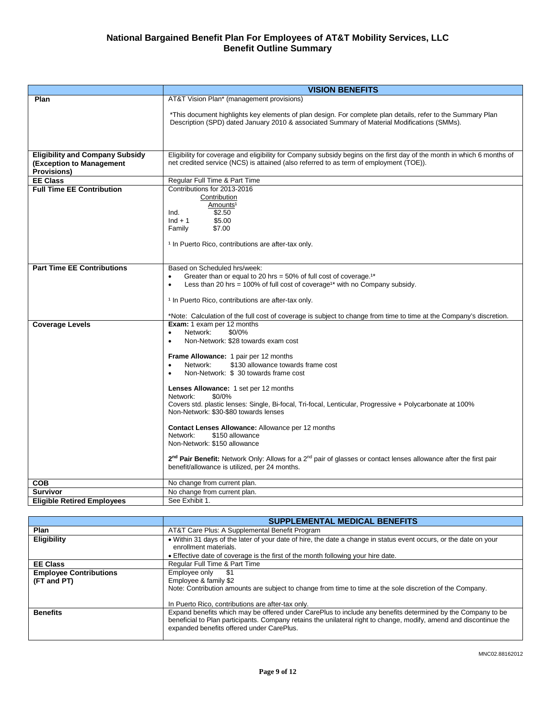|                                                                                                 | <b>VISION BENEFITS</b>                                                                                                                                                                                                                                                                                                                                                                                                                                                                                                                                                                                                                                                                                                                                                     |  |  |  |
|-------------------------------------------------------------------------------------------------|----------------------------------------------------------------------------------------------------------------------------------------------------------------------------------------------------------------------------------------------------------------------------------------------------------------------------------------------------------------------------------------------------------------------------------------------------------------------------------------------------------------------------------------------------------------------------------------------------------------------------------------------------------------------------------------------------------------------------------------------------------------------------|--|--|--|
| Plan                                                                                            | AT&T Vision Plan* (management provisions)                                                                                                                                                                                                                                                                                                                                                                                                                                                                                                                                                                                                                                                                                                                                  |  |  |  |
|                                                                                                 | *This document highlights key elements of plan design. For complete plan details, refer to the Summary Plan<br>Description (SPD) dated January 2010 & associated Summary of Material Modifications (SMMs).                                                                                                                                                                                                                                                                                                                                                                                                                                                                                                                                                                 |  |  |  |
| <b>Eligibility and Company Subsidy</b><br><b>(Exception to Management</b><br><b>Provisions)</b> | Eligibility for coverage and eligibility for Company subsidy begins on the first day of the month in which 6 months of<br>net credited service (NCS) is attained (also referred to as term of employment (TOE)).                                                                                                                                                                                                                                                                                                                                                                                                                                                                                                                                                           |  |  |  |
| <b>EE Class</b>                                                                                 | Regular Full Time & Part Time                                                                                                                                                                                                                                                                                                                                                                                                                                                                                                                                                                                                                                                                                                                                              |  |  |  |
| <b>Full Time EE Contribution</b>                                                                | Contributions for 2013-2016<br>Contribution<br>Amounts <sup>1</sup><br>\$2.50<br>Ind.<br>$Ind + 1$<br>\$5.00<br>\$7.00<br>Family<br><sup>1</sup> In Puerto Rico, contributions are after-tax only.                                                                                                                                                                                                                                                                                                                                                                                                                                                                                                                                                                         |  |  |  |
| <b>Part Time EE Contributions</b>                                                               | Based on Scheduled hrs/week:<br>Greater than or equal to 20 hrs = $50\%$ of full cost of coverage. <sup>1*</sup><br>$\bullet$<br>Less than 20 hrs = 100% of full cost of coverage <sup>1*</sup> with no Company subsidy.<br>$\bullet$<br><sup>1</sup> In Puerto Rico, contributions are after-tax only.<br>*Note: Calculation of the full cost of coverage is subject to change from time to time at the Company's discretion.                                                                                                                                                                                                                                                                                                                                             |  |  |  |
| <b>Coverage Levels</b>                                                                          | Exam: 1 exam per 12 months<br>\$0/0%<br>Network:<br>$\bullet$<br>Non-Network: \$28 towards exam cost<br>$\bullet$<br>Frame Allowance: 1 pair per 12 months<br>\$130 allowance towards frame cost<br>Network:<br>$\bullet$<br>Non-Network: \$30 towards frame cost<br>$\bullet$<br>Lenses Allowance: 1 set per 12 months<br>Network:<br>\$0/0%<br>Covers std. plastic lenses: Single, Bi-focal, Tri-focal, Lenticular, Progressive + Polycarbonate at 100%<br>Non-Network: \$30-\$80 towards lenses<br><b>Contact Lenses Allowance: Allowance per 12 months</b><br>\$150 allowance<br>Network:<br>Non-Network: \$150 allowance<br>2 <sup>nd</sup> Pair Benefit: Network Only: Allows for a 2 <sup>nd</sup> pair of glasses or contact lenses allowance after the first pair |  |  |  |
|                                                                                                 | benefit/allowance is utilized, per 24 months.                                                                                                                                                                                                                                                                                                                                                                                                                                                                                                                                                                                                                                                                                                                              |  |  |  |
| <b>COB</b>                                                                                      | No change from current plan.                                                                                                                                                                                                                                                                                                                                                                                                                                                                                                                                                                                                                                                                                                                                               |  |  |  |
| <b>Survivor</b>                                                                                 | No change from current plan.                                                                                                                                                                                                                                                                                                                                                                                                                                                                                                                                                                                                                                                                                                                                               |  |  |  |
| <b>Eligible Retired Employees</b>                                                               | See Exhibit 1.                                                                                                                                                                                                                                                                                                                                                                                                                                                                                                                                                                                                                                                                                                                                                             |  |  |  |

|                               | <b>SUPPLEMENTAL MEDICAL BENEFITS</b>                                                                                                                                                                                                                                           |  |  |
|-------------------------------|--------------------------------------------------------------------------------------------------------------------------------------------------------------------------------------------------------------------------------------------------------------------------------|--|--|
| Plan                          | AT&T Care Plus: A Supplemental Benefit Program                                                                                                                                                                                                                                 |  |  |
| Eligibility                   | • Within 31 days of the later of your date of hire, the date a change in status event occurs, or the date on your<br>enrollment materials.<br>• Effective date of coverage is the first of the month following your hire date.                                                 |  |  |
| <b>EE Class</b>               | Regular Full Time & Part Time                                                                                                                                                                                                                                                  |  |  |
| <b>Employee Contributions</b> | Employee only<br>-S. 1                                                                                                                                                                                                                                                         |  |  |
| (FT and PT)                   | Employee & family \$2                                                                                                                                                                                                                                                          |  |  |
|                               | Note: Contribution amounts are subject to change from time to time at the sole discretion of the Company.                                                                                                                                                                      |  |  |
|                               | In Puerto Rico, contributions are after-tax only.                                                                                                                                                                                                                              |  |  |
| <b>Benefits</b>               | Expand benefits which may be offered under CarePlus to include any benefits determined by the Company to be<br>beneficial to Plan participants. Company retains the unilateral right to change, modify, amend and discontinue the<br>expanded benefits offered under CarePlus. |  |  |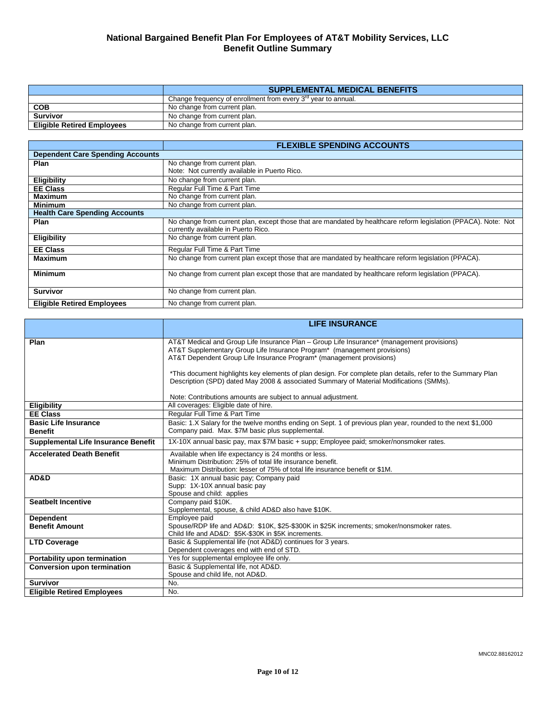|                                   | <b>SUPPLEMENTAL MEDICAL BENEFITS</b>                               |  |
|-----------------------------------|--------------------------------------------------------------------|--|
|                                   | Change frequency of enrollment from every $3^{rd}$ year to annual. |  |
| <b>COB</b>                        | No change from current plan.                                       |  |
| <b>Survivor</b>                   | No change from current plan.                                       |  |
| <b>Eligible Retired Employees</b> | No change from current plan.                                       |  |

|                                         | <b>FLEXIBLE SPENDING ACCOUNTS</b>                                                                                                                      |  |
|-----------------------------------------|--------------------------------------------------------------------------------------------------------------------------------------------------------|--|
| <b>Dependent Care Spending Accounts</b> |                                                                                                                                                        |  |
| Plan                                    | No change from current plan.                                                                                                                           |  |
|                                         | Note: Not currently available in Puerto Rico.                                                                                                          |  |
| Eligibility                             | No change from current plan.                                                                                                                           |  |
| <b>EE Class</b>                         | Regular Full Time & Part Time                                                                                                                          |  |
| <b>Maximum</b>                          | No change from current plan.                                                                                                                           |  |
| <b>Minimum</b>                          | No change from current plan.                                                                                                                           |  |
| <b>Health Care Spending Accounts</b>    |                                                                                                                                                        |  |
| Plan                                    | No change from current plan, except those that are mandated by healthcare reform legislation (PPACA). Note: Not<br>currently available in Puerto Rico. |  |
| <b>Eligibility</b>                      | No change from current plan.                                                                                                                           |  |
| <b>EE Class</b>                         | Regular Full Time & Part Time                                                                                                                          |  |
| Maximum                                 | No change from current plan except those that are mandated by healthcare reform legislation (PPACA).                                                   |  |
| <b>Minimum</b>                          | No change from current plan except those that are mandated by healthcare reform legislation (PPACA).                                                   |  |
| <b>Survivor</b>                         | No change from current plan.                                                                                                                           |  |
| <b>Eligible Retired Employees</b>       | No change from current plan.                                                                                                                           |  |

|                                            | <b>LIFE INSURANCE</b>                                                                                                                                                  |  |  |  |
|--------------------------------------------|------------------------------------------------------------------------------------------------------------------------------------------------------------------------|--|--|--|
|                                            |                                                                                                                                                                        |  |  |  |
| Plan                                       | AT&T Medical and Group Life Insurance Plan - Group Life Insurance* (management provisions)<br>AT&T Supplementary Group Life Insurance Program* (management provisions) |  |  |  |
|                                            | AT&T Dependent Group Life Insurance Program* (management provisions)                                                                                                   |  |  |  |
|                                            |                                                                                                                                                                        |  |  |  |
|                                            | *This document highlights key elements of plan design. For complete plan details, refer to the Summary Plan                                                            |  |  |  |
|                                            | Description (SPD) dated May 2008 & associated Summary of Material Modifications (SMMs).                                                                                |  |  |  |
|                                            |                                                                                                                                                                        |  |  |  |
|                                            | Note: Contributions amounts are subject to annual adjustment.                                                                                                          |  |  |  |
| <b>Eligibility</b>                         | All coverages: Eligible date of hire.                                                                                                                                  |  |  |  |
| <b>EE Class</b>                            | Regular Full Time & Part Time                                                                                                                                          |  |  |  |
| <b>Basic Life Insurance</b>                | Basic: 1.X Salary for the twelve months ending on Sept. 1 of previous plan year, rounded to the next \$1,000                                                           |  |  |  |
| <b>Benefit</b>                             | Company paid. Max. \$7M basic plus supplemental.                                                                                                                       |  |  |  |
| <b>Supplemental Life Insurance Benefit</b> | 1X-10X annual basic pay, max \$7M basic + supp; Employee paid; smoker/nonsmoker rates.                                                                                 |  |  |  |
| <b>Accelerated Death Benefit</b>           | Available when life expectancy is 24 months or less.                                                                                                                   |  |  |  |
|                                            | Minimum Distribution: 25% of total life insurance benefit.                                                                                                             |  |  |  |
|                                            | Maximum Distribution: lesser of 75% of total life insurance benefit or \$1M.                                                                                           |  |  |  |
| AD&D                                       | Basic: 1X annual basic pay; Company paid                                                                                                                               |  |  |  |
|                                            | Supp: 1X-10X annual basic pay<br>Spouse and child: applies                                                                                                             |  |  |  |
| <b>Seatbelt Incentive</b>                  |                                                                                                                                                                        |  |  |  |
|                                            | Company paid \$10K.<br>Supplemental, spouse, & child AD&D also have \$10K.                                                                                             |  |  |  |
| <b>Dependent</b>                           | Employee paid                                                                                                                                                          |  |  |  |
| <b>Benefit Amount</b>                      | Spouse/RDP life and AD&D: \$10K, \$25-\$300K in \$25K increments; smoker/nonsmoker rates.                                                                              |  |  |  |
|                                            | Child life and AD&D: \$5K-\$30K in \$5K increments.                                                                                                                    |  |  |  |
| <b>LTD Coverage</b>                        | Basic & Supplemental life (not AD&D) continues for 3 years.                                                                                                            |  |  |  |
|                                            | Dependent coverages end with end of STD.                                                                                                                               |  |  |  |
| Portability upon termination               | Yes for supplemental employee life only.                                                                                                                               |  |  |  |
| <b>Conversion upon termination</b>         | Basic & Supplemental life, not AD&D.                                                                                                                                   |  |  |  |
|                                            | Spouse and child life, not AD&D.                                                                                                                                       |  |  |  |
| <b>Survivor</b>                            | No.                                                                                                                                                                    |  |  |  |
| <b>Eligible Retired Employees</b>          | No.                                                                                                                                                                    |  |  |  |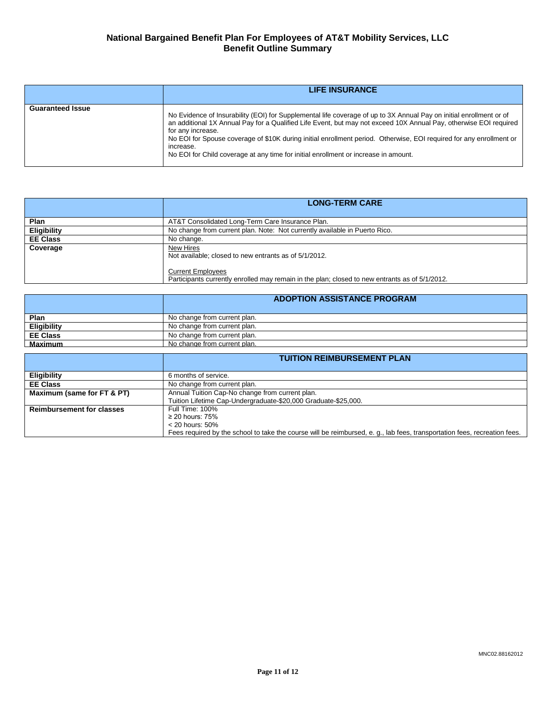|                         | <b>LIFE INSURANCE</b>                                                                                                                                                                                                                                                                                                                                                                                                                                                                    |
|-------------------------|------------------------------------------------------------------------------------------------------------------------------------------------------------------------------------------------------------------------------------------------------------------------------------------------------------------------------------------------------------------------------------------------------------------------------------------------------------------------------------------|
| <b>Guaranteed Issue</b> | No Evidence of Insurability (EOI) for Supplemental life coverage of up to 3X Annual Pay on initial enrollment or of<br>an additional 1X Annual Pay for a Qualified Life Event, but may not exceed 10X Annual Pay, otherwise EOI required<br>for any increase.<br>No EOI for Spouse coverage of \$10K during initial enrollment period. Otherwise, EOI required for any enrollment or<br>increase.<br>No EOI for Child coverage at any time for initial enrollment or increase in amount. |

|                    | <b>LONG-TERM CARE</b>                                                                                                      |  |
|--------------------|----------------------------------------------------------------------------------------------------------------------------|--|
|                    |                                                                                                                            |  |
| <b>Plan</b>        | AT&T Consolidated Long-Term Care Insurance Plan.                                                                           |  |
| <b>Eligibility</b> | No change from current plan. Note: Not currently available in Puerto Rico.                                                 |  |
| <b>EE Class</b>    | No change.                                                                                                                 |  |
| Coverage           | New Hires<br>Not available; closed to new entrants as of 5/1/2012.                                                         |  |
|                    | <b>Current Employees</b><br>Participants currently enrolled may remain in the plan; closed to new entrants as of 5/1/2012. |  |

|                    | <b>ADOPTION ASSISTANCE PROGRAM</b> |  |
|--------------------|------------------------------------|--|
| Plan               | No change from current plan.       |  |
| <b>Eligibility</b> | No change from current plan.       |  |
| <b>EE Class</b>    | No change from current plan.       |  |
| <b>Maximum</b>     | No change from current plan.       |  |

|                                  | <b>TUITION REIMBURSEMENT PLAN</b>                                                                                         |  |  |
|----------------------------------|---------------------------------------------------------------------------------------------------------------------------|--|--|
|                                  |                                                                                                                           |  |  |
| <b>Eligibility</b>               | 6 months of service.                                                                                                      |  |  |
| <b>EE Class</b>                  | No change from current plan.                                                                                              |  |  |
| Maximum (same for FT & PT)       | Annual Tuition Cap-No change from current plan.                                                                           |  |  |
|                                  | Tuition Lifetime Cap-Undergraduate-\$20,000 Graduate-\$25,000.                                                            |  |  |
| <b>Reimbursement for classes</b> | Full Time: 100%                                                                                                           |  |  |
|                                  | $\geq$ 20 hours: 75%                                                                                                      |  |  |
|                                  | $<$ 20 hours: 50%                                                                                                         |  |  |
|                                  | Fees required by the school to take the course will be reimbursed, e. q., lab fees, transportation fees, recreation fees. |  |  |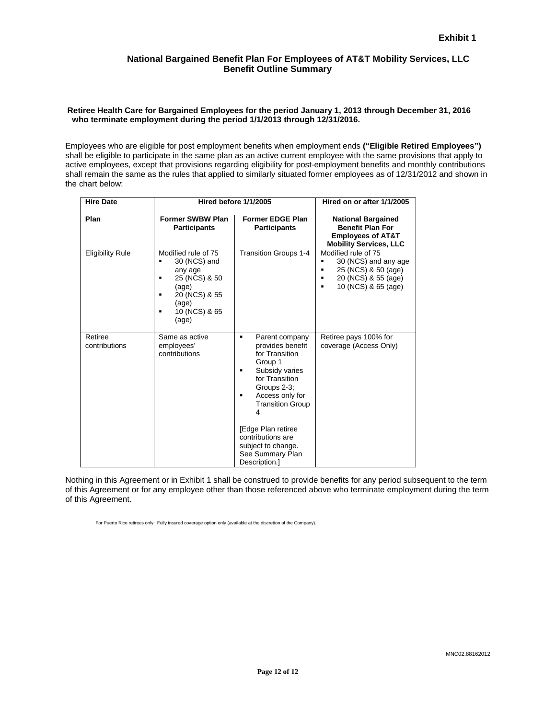#### **Retiree Health Care for Bargained Employees for the period January 1, 2013 through December 31, 2016 who terminate employment during the period 1/1/2013 through 12/31/2016.**

Employees who are eligible for post employment benefits when employment ends **("Eligible Retired Employees")** shall be eligible to participate in the same plan as an active current employee with the same provisions that apply to active employees, except that provisions regarding eligibility for post-employment benefits and monthly contributions shall remain the same as the rules that applied to similarly situated former employees as of 12/31/2012 and shown in the chart below:

| <b>Hire Date</b>         | Hired before 1/1/2005                                                                                                                  |                                                                                                                                                                                                                                                                                  | Hired on or after 1/1/2005                                                                                                                   |
|--------------------------|----------------------------------------------------------------------------------------------------------------------------------------|----------------------------------------------------------------------------------------------------------------------------------------------------------------------------------------------------------------------------------------------------------------------------------|----------------------------------------------------------------------------------------------------------------------------------------------|
| Plan                     | <b>Former SWBW Plan</b><br><b>Participants</b>                                                                                         | <b>Former EDGE Plan</b><br><b>Participants</b>                                                                                                                                                                                                                                   | <b>National Bargained</b><br><b>Benefit Plan For</b><br><b>Employees of AT&amp;T</b><br><b>Mobility Services, LLC</b>                        |
| <b>Eligibility Rule</b>  | Modified rule of 75<br>30 (NCS) and<br>any age<br>25 (NCS) & 50<br>٠<br>(age)<br>20 (NCS) & 55<br>(age)<br>10 (NCS) & 65<br>٠<br>(age) | <b>Transition Groups 1-4</b>                                                                                                                                                                                                                                                     | Modified rule of 75<br>30 (NCS) and any age<br>в<br>25 (NCS) & 50 (age)<br>в<br>20 (NCS) & 55 (age)<br>10 (NCS) & 65 (age)<br>$\blacksquare$ |
| Retiree<br>contributions | Same as active<br>employees'<br>contributions                                                                                          | Parent company<br>٠<br>provides benefit<br>for Transition<br>Group 1<br>Subsidy varies<br>for Transition<br>Groups 2-3;<br>Access only for<br><b>Transition Group</b><br>4<br>[Edge Plan retiree<br>contributions are<br>subject to change.<br>See Summary Plan<br>Description.] | Retiree pays 100% for<br>coverage (Access Only)                                                                                              |

Nothing in this Agreement or in Exhibit 1 shall be construed to provide benefits for any period subsequent to the term of this Agreement or for any employee other than those referenced above who terminate employment during the term of this Agreement.

For Puerto Rico retirees only: Fully insured coverage option only (available at the discretion of the Company).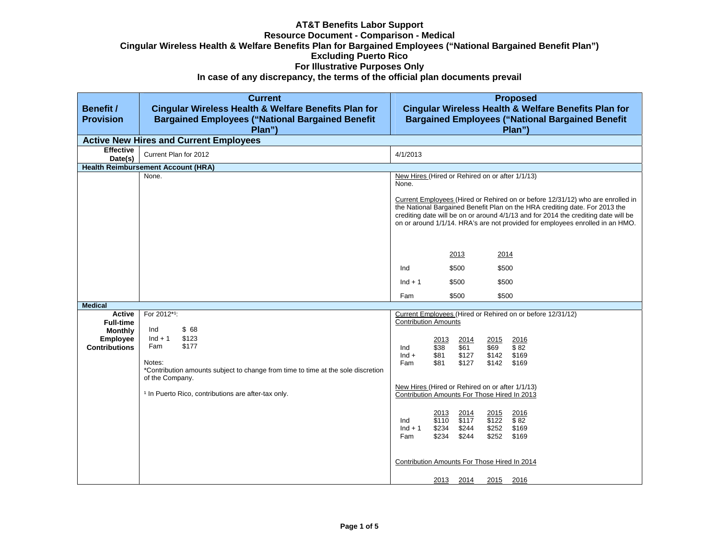## **AT&T Benefits Labor Support Resource Document - Comparison - Medical Cingular Wireless Health & Welfare Benefits Plan for Bargained Employees ("National Bargained Benefit Plan") Excluding Puerto Rico For Illustrative Purposes Only**

**In case of any discrepancy, the terms of the official plan documents prevail** 

| <b>Benefit /</b><br><b>Provision</b> | <b>Current</b><br><b>Cingular Wireless Health &amp; Welfare Benefits Plan for</b><br><b>Bargained Employees ("National Bargained Benefit</b><br>Plan") | <b>Proposed</b><br><b>Cingular Wireless Health &amp; Welfare Benefits Plan for</b><br><b>Bargained Employees ("National Bargained Benefit</b><br>Plan")                                                                                                                                                                              |
|--------------------------------------|--------------------------------------------------------------------------------------------------------------------------------------------------------|--------------------------------------------------------------------------------------------------------------------------------------------------------------------------------------------------------------------------------------------------------------------------------------------------------------------------------------|
|                                      | <b>Active New Hires and Current Employees</b>                                                                                                          |                                                                                                                                                                                                                                                                                                                                      |
| <b>Effective</b><br>Date(s)          | Current Plan for 2012                                                                                                                                  | 4/1/2013                                                                                                                                                                                                                                                                                                                             |
|                                      | <b>Health Reimbursement Account (HRA)</b>                                                                                                              |                                                                                                                                                                                                                                                                                                                                      |
|                                      | None.                                                                                                                                                  | New Hires (Hired or Rehired on or after 1/1/13)<br>None.                                                                                                                                                                                                                                                                             |
|                                      |                                                                                                                                                        | Current Employees (Hired or Rehired on or before 12/31/12) who are enrolled in<br>the National Bargained Benefit Plan on the HRA crediting date. For 2013 the<br>crediting date will be on or around 4/1/13 and for 2014 the crediting date will be<br>on or around 1/1/14. HRA's are not provided for employees enrolled in an HMO. |
|                                      |                                                                                                                                                        | 2013<br>2014                                                                                                                                                                                                                                                                                                                         |
|                                      |                                                                                                                                                        | \$500<br>\$500<br>Ind                                                                                                                                                                                                                                                                                                                |
|                                      |                                                                                                                                                        | $Ind + 1$<br>\$500<br>\$500                                                                                                                                                                                                                                                                                                          |
|                                      |                                                                                                                                                        | Fam<br>\$500<br>\$500                                                                                                                                                                                                                                                                                                                |
| <b>Medical</b>                       |                                                                                                                                                        |                                                                                                                                                                                                                                                                                                                                      |
| Active<br><b>Full-time</b>           | For 2012*1:                                                                                                                                            | Current Employees (Hired or Rehired on or before 12/31/12)<br><b>Contribution Amounts</b>                                                                                                                                                                                                                                            |
| <b>Monthly</b>                       | \$68<br>Ind                                                                                                                                            |                                                                                                                                                                                                                                                                                                                                      |
| <b>Employee</b>                      | $Ind + 1$<br>\$123                                                                                                                                     | 2013<br>2014<br>2016<br>2015                                                                                                                                                                                                                                                                                                         |
| <b>Contributions</b>                 | Fam<br>\$177                                                                                                                                           | \$38<br>\$61<br>\$69<br>\$82<br>Ind<br>$Ind +$<br>\$127<br>\$169<br>\$81<br>\$142                                                                                                                                                                                                                                                    |
|                                      | Notes:                                                                                                                                                 | Fam<br>\$81<br>\$127<br>\$142<br>\$169                                                                                                                                                                                                                                                                                               |
|                                      | *Contribution amounts subject to change from time to time at the sole discretion<br>of the Company.                                                    |                                                                                                                                                                                                                                                                                                                                      |
|                                      | <sup>1</sup> In Puerto Rico, contributions are after-tax only.                                                                                         | New Hires (Hired or Rehired on or after 1/1/13)<br>Contribution Amounts For Those Hired In 2013                                                                                                                                                                                                                                      |
|                                      |                                                                                                                                                        | 2013<br>2014<br>2016<br><u> 2015</u><br>\$117<br>\$110<br>\$122<br>\$82<br>Ind<br>\$234<br>\$244<br>\$252<br>\$169<br>$Ind + 1$<br>\$234<br>\$244<br>Fam<br>\$252<br>\$169                                                                                                                                                           |
|                                      |                                                                                                                                                        | Contribution Amounts For Those Hired In 2014                                                                                                                                                                                                                                                                                         |
|                                      |                                                                                                                                                        | 2013<br>2014<br>2015<br>2016                                                                                                                                                                                                                                                                                                         |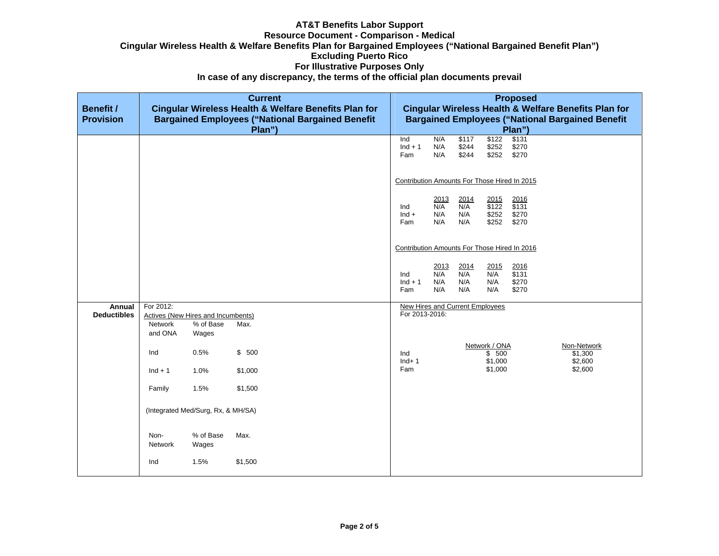#### **AT&T Benefits Labor Support Resource Document - Comparison - Medical Cingular Wireless Health & Welfare Benefits Plan for Bargained Employees ("National Bargained Benefit Plan") Excluding Puerto Rico For Illustrative Purposes Only In case of any discrepancy, the terms of the official plan documents prevail**

| <b>Benefit /</b><br><b>Provision</b> | <b>Current</b><br>Cingular Wireless Health & Welfare Benefits Plan for<br><b>Bargained Employees ("National Bargained Benefit</b><br>Plan") |                                                          |         |  | <b>Proposed</b><br>Cingular Wireless Health & Welfare Benefits Plan for<br><b>Bargained Employees ("National Bargained Benefit</b><br>Plan") |                                  |                           |                                   |                                         |                                   |
|--------------------------------------|---------------------------------------------------------------------------------------------------------------------------------------------|----------------------------------------------------------|---------|--|----------------------------------------------------------------------------------------------------------------------------------------------|----------------------------------|---------------------------|-----------------------------------|-----------------------------------------|-----------------------------------|
|                                      |                                                                                                                                             |                                                          |         |  | $\overline{\text{Ind}}$<br>$Ind + 1$<br>Fam                                                                                                  | N/A<br>N/A<br>N/A                | \$117<br>\$244<br>\$244   | \$122<br>\$252<br>\$252           | \$131<br>\$270<br>\$270                 |                                   |
|                                      |                                                                                                                                             |                                                          |         |  | Contribution Amounts For Those Hired In 2015                                                                                                 |                                  |                           |                                   |                                         |                                   |
|                                      |                                                                                                                                             |                                                          |         |  | Ind<br>$Ind +$<br>Fam                                                                                                                        | 2013<br>N/A<br>N/A<br>N/A        | 2014<br>N/A<br>N/A<br>N/A | 2015<br>\$122<br>\$252<br>\$252   | 2016<br>\$131<br>\$270<br>\$270         |                                   |
|                                      |                                                                                                                                             |                                                          |         |  | Contribution Amounts For Those Hired In 2016                                                                                                 |                                  |                           |                                   |                                         |                                   |
|                                      |                                                                                                                                             |                                                          |         |  | Ind<br>$Ind + 1$<br>Fam                                                                                                                      | $\frac{2013}{N/A}$<br>N/A<br>N/A | 2014<br>N/A<br>N/A<br>N/A | 2015<br>N/A<br>N/A<br>N/A         | 2016<br>$\sqrt{$131}$<br>\$270<br>\$270 |                                   |
| Annual<br><b>Deductibles</b>         | For 2012:                                                                                                                                   |                                                          |         |  | <b>New Hires and Current Employees</b><br>For 2013-2016:                                                                                     |                                  |                           |                                   |                                         |                                   |
|                                      | Network<br>and ONA                                                                                                                          | Actives (New Hires and Incumbents)<br>% of Base<br>Wages | Max.    |  |                                                                                                                                              |                                  |                           |                                   |                                         |                                   |
|                                      | Ind                                                                                                                                         | 0.5%                                                     | \$500   |  | Ind<br>$Ind+1$                                                                                                                               |                                  |                           | Network / ONA<br>\$500<br>\$1,000 |                                         | Non-Network<br>\$1,300<br>\$2,600 |
|                                      | $Ind + 1$                                                                                                                                   | 1.0%                                                     | \$1,000 |  | Fam                                                                                                                                          |                                  |                           | \$1,000                           |                                         | \$2,600                           |
|                                      | Family                                                                                                                                      | 1.5%                                                     | \$1,500 |  |                                                                                                                                              |                                  |                           |                                   |                                         |                                   |
|                                      | (Integrated Med/Surg, Rx, & MH/SA)                                                                                                          |                                                          |         |  |                                                                                                                                              |                                  |                           |                                   |                                         |                                   |
|                                      | Non-<br>Network                                                                                                                             | % of Base<br>Wages                                       | Max.    |  |                                                                                                                                              |                                  |                           |                                   |                                         |                                   |
|                                      | Ind                                                                                                                                         | 1.5%                                                     | \$1,500 |  |                                                                                                                                              |                                  |                           |                                   |                                         |                                   |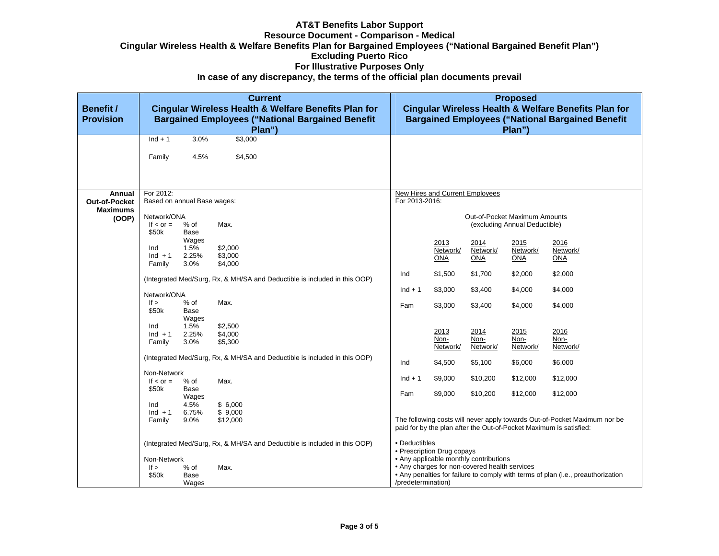#### **AT&T Benefits Labor Support Resource Document - Comparison - Medical Cingular Wireless Health & Welfare Benefits Plan for Bargained Employees ("National Bargained Benefit Plan") Excluding Puerto Rico For Illustrative Purposes Only In case of any discrepancy, the terms of the official plan documents prevail**

| <b>Benefit /</b><br><b>Provision</b> | <b>Current</b><br><b>Cingular Wireless Health &amp; Welfare Benefits Plan for</b><br><b>Bargained Employees ("National Bargained Benefit</b><br>Plan") |         |          |                            | <b>Proposed</b><br>Cingular Wireless Health & Welfare Benefits Plan for<br><b>Bargained Employees ("National Bargained Benefit</b><br>Plan") |            |                               |                                                                                  |  |  |
|--------------------------------------|--------------------------------------------------------------------------------------------------------------------------------------------------------|---------|----------|----------------------------|----------------------------------------------------------------------------------------------------------------------------------------------|------------|-------------------------------|----------------------------------------------------------------------------------|--|--|
|                                      | $Ind + 1$                                                                                                                                              | 3.0%    | \$3,000  |                            |                                                                                                                                              |            |                               |                                                                                  |  |  |
|                                      | Family                                                                                                                                                 | 4.5%    | \$4,500  |                            |                                                                                                                                              |            |                               |                                                                                  |  |  |
|                                      |                                                                                                                                                        |         |          |                            |                                                                                                                                              |            |                               |                                                                                  |  |  |
| Annual                               | For 2012:                                                                                                                                              |         |          |                            | New Hires and Current Employees                                                                                                              |            |                               |                                                                                  |  |  |
| <b>Out-of-Pocket</b>                 | Based on annual Base wages:                                                                                                                            |         |          |                            | For 2013-2016:                                                                                                                               |            |                               |                                                                                  |  |  |
| <b>Maximums</b>                      |                                                                                                                                                        |         |          |                            |                                                                                                                                              |            |                               |                                                                                  |  |  |
| (OOP)                                | Network/ONA                                                                                                                                            |         |          |                            |                                                                                                                                              |            | Out-of-Pocket Maximum Amounts |                                                                                  |  |  |
|                                      | If $\le$ or $=$                                                                                                                                        | $%$ of  | Max.     |                            |                                                                                                                                              |            | (excluding Annual Deductible) |                                                                                  |  |  |
|                                      | \$50k                                                                                                                                                  | Base    |          |                            |                                                                                                                                              |            |                               |                                                                                  |  |  |
|                                      |                                                                                                                                                        | Wages   |          |                            | 2013                                                                                                                                         | 2014       | 2015                          | 2016                                                                             |  |  |
|                                      | Ind                                                                                                                                                    | 1.5%    | \$2,000  |                            | Network/                                                                                                                                     | Network/   | Network/                      | Network/                                                                         |  |  |
|                                      | $Ind + 1$                                                                                                                                              | 2.25%   | \$3,000  |                            | ONA                                                                                                                                          | <b>ONA</b> | <b>ONA</b>                    | <b>ONA</b>                                                                       |  |  |
|                                      | Family                                                                                                                                                 | 3.0%    | \$4,000  |                            |                                                                                                                                              |            |                               |                                                                                  |  |  |
|                                      | (Integrated Med/Surg, Rx, & MH/SA and Deductible is included in this OOP)                                                                              |         |          | Ind                        | \$1,500                                                                                                                                      | \$1,700    | \$2,000                       | \$2,000                                                                          |  |  |
|                                      |                                                                                                                                                        |         |          |                            |                                                                                                                                              |            |                               |                                                                                  |  |  |
|                                      | Network/ONA                                                                                                                                            |         |          | $Ind + 1$                  | \$3,000                                                                                                                                      | \$3,400    | \$4,000                       | \$4,000                                                                          |  |  |
|                                      | If $>$                                                                                                                                                 | $%$ of  | Max.     |                            |                                                                                                                                              |            |                               |                                                                                  |  |  |
|                                      | \$50k                                                                                                                                                  | Base    |          | Fam                        | \$3,000                                                                                                                                      | \$3,400    | \$4,000                       | \$4,000                                                                          |  |  |
|                                      |                                                                                                                                                        | Wages   |          |                            |                                                                                                                                              |            |                               |                                                                                  |  |  |
|                                      | Ind                                                                                                                                                    | 1.5%    | \$2,500  |                            |                                                                                                                                              |            |                               |                                                                                  |  |  |
|                                      | $Ind + 1$                                                                                                                                              | 2.25%   | \$4,000  |                            | 2013                                                                                                                                         | 2014       | 2015                          | 2016                                                                             |  |  |
|                                      | Family                                                                                                                                                 | 3.0%    | \$5,300  |                            | Non-                                                                                                                                         | Non-       | Non-                          | Non-                                                                             |  |  |
|                                      |                                                                                                                                                        |         |          |                            | Network/                                                                                                                                     | Network/   | Network/                      | Network/                                                                         |  |  |
|                                      | (Integrated Med/Surg, Rx, & MH/SA and Deductible is included in this OOP)                                                                              |         |          |                            |                                                                                                                                              |            |                               |                                                                                  |  |  |
|                                      |                                                                                                                                                        |         |          |                            | \$4,500                                                                                                                                      | \$5,100    | \$6,000                       | \$6,000                                                                          |  |  |
|                                      | Non-Network                                                                                                                                            |         |          |                            |                                                                                                                                              |            |                               |                                                                                  |  |  |
|                                      | If $\le$ or $=$                                                                                                                                        | $%$ of  | Max.     | $Ind + 1$                  | \$9,000                                                                                                                                      | \$10,200   | \$12,000                      | \$12,000                                                                         |  |  |
|                                      | \$50k                                                                                                                                                  | Base    |          | Fam                        | \$9,000                                                                                                                                      |            |                               |                                                                                  |  |  |
|                                      |                                                                                                                                                        | Wages   |          |                            |                                                                                                                                              | \$10,200   | \$12,000                      | \$12,000                                                                         |  |  |
|                                      | Ind                                                                                                                                                    | 4.5%    | \$6,000  |                            |                                                                                                                                              |            |                               |                                                                                  |  |  |
|                                      | $Ind + 1$                                                                                                                                              | 6.75%   | \$9,000  |                            |                                                                                                                                              |            |                               |                                                                                  |  |  |
|                                      | Family                                                                                                                                                 | $9.0\%$ | \$12,000 |                            |                                                                                                                                              |            |                               | The following costs will never apply towards Out-of-Pocket Maximum nor be        |  |  |
|                                      |                                                                                                                                                        |         |          |                            |                                                                                                                                              |            |                               | paid for by the plan after the Out-of-Pocket Maximum is satisfied:               |  |  |
|                                      |                                                                                                                                                        |         |          |                            | • Deductibles                                                                                                                                |            |                               |                                                                                  |  |  |
|                                      | (Integrated Med/Surg, Rx, & MH/SA and Deductible is included in this OOP)                                                                              |         |          | • Prescription Drug copays |                                                                                                                                              |            |                               |                                                                                  |  |  |
|                                      | Non-Network                                                                                                                                            |         |          |                            |                                                                                                                                              |            |                               |                                                                                  |  |  |
|                                      | If >                                                                                                                                                   | % of    | Max.     |                            | • Any applicable monthly contributions<br>• Any charges for non-covered health services                                                      |            |                               |                                                                                  |  |  |
|                                      | \$50k                                                                                                                                                  | Base    |          |                            |                                                                                                                                              |            |                               | • Any penalties for failure to comply with terms of plan (i.e., preauthorization |  |  |
|                                      |                                                                                                                                                        | Wages   |          | /predetermination)         |                                                                                                                                              |            |                               |                                                                                  |  |  |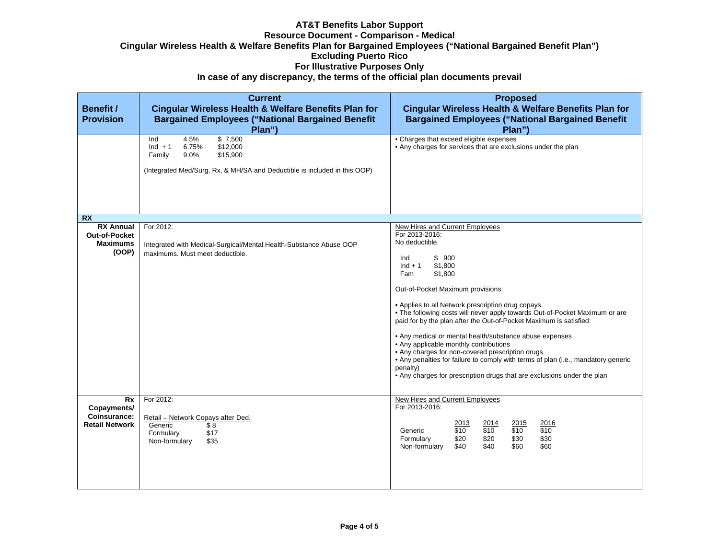# **AT&T Benefits Labor Support Resource Document - Comparison - Medical Cingular Wireless Health & Welfare Benefits Plan for Bargained Employees ("National Bargained Benefit Plan") Excluding Puerto Rico For Illustrative Purposes Only**

| In case of any discrepancy, the terms of the official plan documents prevail |  |
|------------------------------------------------------------------------------|--|
|                                                                              |  |

| <b>Benefit /</b><br><b>Provision</b>                                 | <b>Current</b><br>Cingular Wireless Health & Welfare Benefits Plan for<br><b>Bargained Employees ("National Bargained Benefit</b><br>Plan")                            | <b>Proposed</b><br>Cingular Wireless Health & Welfare Benefits Plan for<br><b>Bargained Employees ("National Bargained Benefit</b><br>Plan")                                                                                                                                                                                                                                                                                                                                                                                                                                                                                                                                                                       |
|----------------------------------------------------------------------|------------------------------------------------------------------------------------------------------------------------------------------------------------------------|--------------------------------------------------------------------------------------------------------------------------------------------------------------------------------------------------------------------------------------------------------------------------------------------------------------------------------------------------------------------------------------------------------------------------------------------------------------------------------------------------------------------------------------------------------------------------------------------------------------------------------------------------------------------------------------------------------------------|
|                                                                      | 4.5%<br>\$7,500<br>Ind<br>6.75%<br>$Ind + 1$<br>\$12,000<br>$9.0\%$<br>\$15,900<br>Family<br>(Integrated Med/Surg, Rx, & MH/SA and Deductible is included in this OOP) | • Charges that exceed eligible expenses<br>• Any charges for services that are exclusions under the plan                                                                                                                                                                                                                                                                                                                                                                                                                                                                                                                                                                                                           |
| <b>RX</b>                                                            |                                                                                                                                                                        |                                                                                                                                                                                                                                                                                                                                                                                                                                                                                                                                                                                                                                                                                                                    |
| <b>RX Annual</b><br><b>Out-of-Pocket</b><br><b>Maximums</b><br>(OOP) | For 2012:<br>Integrated with Medical-Surgical/Mental Health-Substance Abuse OOP<br>maximums. Must meet deductible.                                                     | New Hires and Current Employees<br>For 2013-2016:<br>No deductible.<br>Ind<br>\$900<br>\$1,800<br>$Ind + 1$<br>Fam<br>\$1,800<br>Out-of-Pocket Maximum provisions:<br>• Applies to all Network prescription drug copays.<br>. The following costs will never apply towards Out-of-Pocket Maximum or are<br>paid for by the plan after the Out-of-Pocket Maximum is satisfied:<br>• Any medical or mental health/substance abuse expenses<br>• Any applicable monthly contributions<br>• Any charges for non-covered prescription drugs<br>• Any penalties for failure to comply with terms of plan (i.e., mandatory generic<br>penalty)<br>• Any charges for prescription drugs that are exclusions under the plan |
| <b>Rx</b><br>Copayments/<br>Coinsurance:<br><b>Retail Network</b>    | For 2012:<br>Retail - Network Copays after Ded.<br>Generic<br>\$8<br>\$17<br>Formulary<br>\$35<br>Non-formulary                                                        | New Hires and Current Employees<br>For 2013-2016:<br>2016<br>2013<br><u> 2014</u><br>2015<br>$\overline{$10}$<br>\$10<br>\$10<br>\$10<br>Generic<br>\$20<br>\$20<br>\$30<br>\$30<br>Formulary<br>\$60<br>Non-formulary<br>\$40<br>\$40<br>\$60                                                                                                                                                                                                                                                                                                                                                                                                                                                                     |